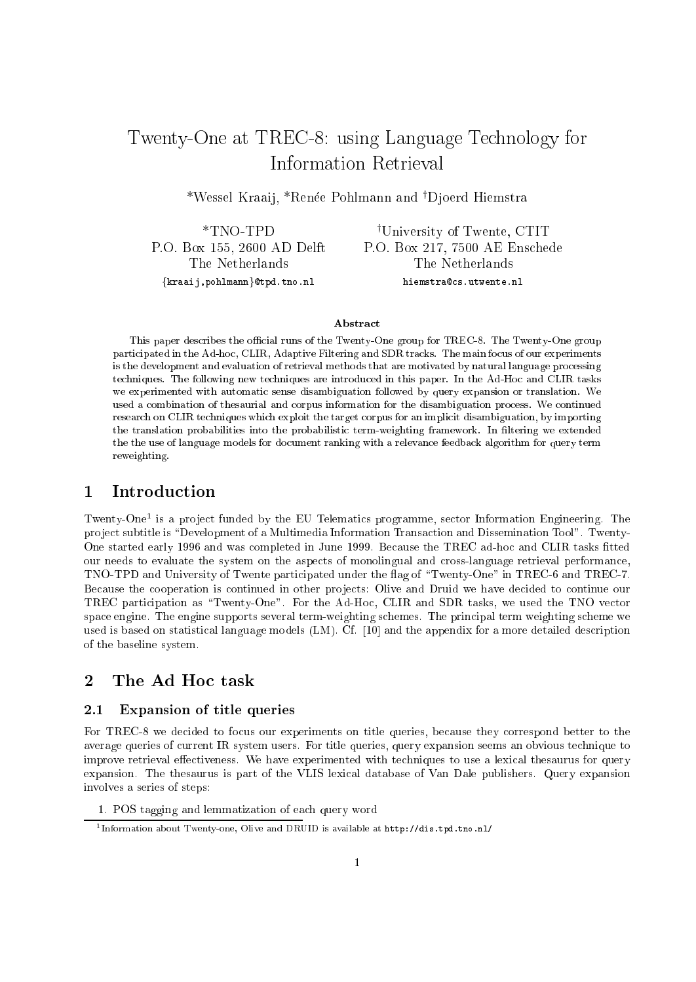# Twenty-One at TREC-8: using Language Te
hnology for

\*Wessel Kraaij, \*Renée Pohlmann and †Djoerd Hiemstra

\*TNO-TPD P.O. Box 155, 2600 AD Delft The Netherlands  $\{kraaij, pohlmann\}$ @tpd.tno.nl

<sup>†</sup>University of Twente, CTIT P.O. Box 217, 7500 AE Ens
hede The Netherlands hiemstra@cs.utwente.nl

#### **Abstract**

This paper describes the official runs of the Twenty-One group for TREC-8. The Twenty-One group participated in the Ad-hoc, CLIR, Adaptive Filtering and SDR tracks. The main focus of our experiments is the development and evaluation of retrieval methods that are motivated by natural language pro
essing te
hniques. The following new te
hniques are introdu
ed in this paper. In the Ad-Ho and CLIR tasks we experimented with automatic sense disambiguation followed by query expansion or translation. We used a ombination of thesaurial and orpus information for the disambiguation pro
ess. We ontinued research on CLIR techniques which exploit the target corpus for an implicit disambiguation, by importing the translation probabilities into the probabilistic term-weighting framework. In filtering we extended the the use of language models for document ranking with a relevance feedback algorithm for query term reweighting.

#### **Introduction**  $\mathbf{1}$

Twenty-One1 is a pro je
t funded by the EU Telemati
s programme, se
tor Information Engineering. The project subtitle is "Development of a Multimedia Information Transaction and Dissemination Tool". Twenty-One started early 1996 and was completed in June 1999. Because the TREC ad-hoc and CLIR tasks fitted our needs to evaluate the system on the aspects of monolingual and cross-language retrieval performance, TNO-TPD and University of Twente participated under the flag of "Twenty-One" in TREC-6 and TREC-7. Because the cooperation is continued in other projects: Olive and Druid we have decided to continue our TREC participation as "Twenty-One". For the Ad-Hoc, CLIR and SDR tasks, we used the TNO vector space engine. The engine supports several term-weighting schemes. The principal term weighting scheme we used is based on statistical language models (LM). Cf. [10] and the appendix for a more detailed description of the baseline system.

#### $\overline{2}$ The Ad Hoc task

## 2.1 Expansion of title queries

For TREC-8 we decided to focus our experiments on title queries, because they correspond better to the average queries of urrent IR system users. For title queries, query expansion seems an obvious te
hnique to improve retrieval effectiveness. We have experimented with techniques to use a lexical thesaurus for query expansion. The thesaurus is part of the VLIS lexi
al database of Van Dale publishers. Query expansion involves a series of steps:

1. POS tagging and lemmatization of ea
h query word

<sup>1</sup> Information about Twenty-one, Olive and DRUID is available at http://dis.tpd.tno.nl/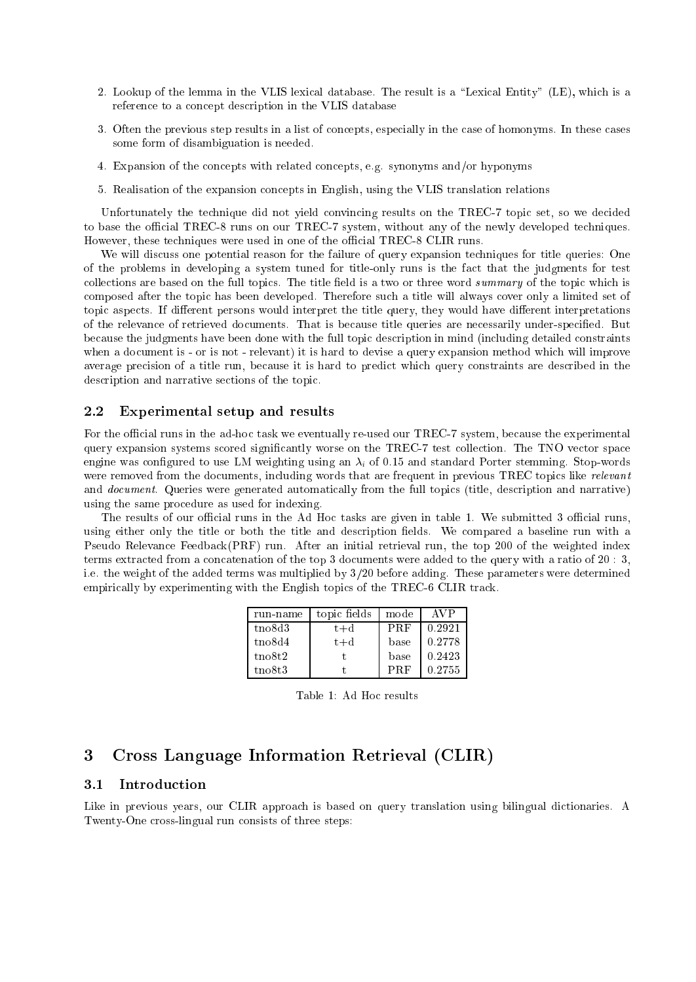- 2. Lookup of the lemma in the VLIS lexical database. The result is a "Lexical Entity" (LE), which is a reference to a concept description in the VLIS database
- 3. Often the previous step results in a list of concepts, especially in the case of homonyms. In these cases some form of disambiguation is needed.
- 4. Expansion of the on
epts with related on
epts, e.g. synonyms and/or hyponyms
- 5. Realisation of the expansion on
epts in English, using the VLIS translation relations

Unfortunately the technique did not yield convincing results on the TREC-7 topic set, so we decided to base the official TREC-8 runs on our TREC-7 system, without any of the newly developed techniques. However, these techniques were used in one of the official TREC-8 CLIR runs.

We will discuss one potential reason for the failure of query expansion techniques for title queries: One of the problems in developing a system tuned for title-only runs is the fa
t that the judgments for test collections are based on the full topics. The title field is a two or three word summary of the topic which is omposed after the topi has been developed. Therefore su
h a title will always over only a limited set of topic aspects. If different persons would interpret the title query, they would have different interpretations of the relevan
e of retrieved do
uments. That is be
ause title queries are ne
essarily under-spe
ied. But because the judgments have been done with the full topic description in mind (including detailed constraints when a document is - or is not - relevant) it is hard to devise a query expansion method which will improve average precision of a title run, because it is hard to predict which query constraints are described in the description and narrative sections of the topic.

### 2.2 Experimental setup and results

For the official runs in the ad-hoc task we eventually re-used our TREC-7 system, because the experimental query expansion systems scored significantly worse on the TREC-7 test collection. The TNO vector space engine was configured to use LM weighting using an  $\lambda_i$  of 0.15 and standard Porter stemming. Stop-words were removed from the documents, including words that are frequent in previous TREC topics like relevant and *document*. Queries were generated automatically from the full topics (title, description and narrative) using the same pro
edure as used for indexing.

The results of our official runs in the Ad Hoc tasks are given in table 1. We submitted 3 official runs, using either only the title or both the title and description fields. We compared a baseline run with a Pseudo Relevance Feedback(PRF) run. After an initial retrieval run, the top 200 of the weighted index terms extracted from a concatenation of the top 3 documents were added to the query with a ratio of 20 : 3, i.e. the weight of the added terms was multiplied by  $3/20$  before adding. These parameters were determined empirically by experimenting with the English topics of the TREC-6 CLIR track.

| run-name     | topic fields | mode       | AVP    |
|--------------|--------------|------------|--------|
| $t$ no $8d3$ | $t + d$      | <b>PRF</b> | 0.2921 |
| tno8d4       | $t + d$      | base       | 0.2778 |
| $t$ no $8t2$ |              | base       | 0.2423 |
| $t$ no $8t3$ |              | <b>PRF</b> | 0.2755 |

Table 1: Ad Hoc results

# 3 Cross Language Information Retrieval (CLIR)

## 3.1 Introdu
tion

Like in previous years, our CLIR approach is based on query translation using bilingual dictionaries. A Twenty-One cross-lingual run consists of three steps: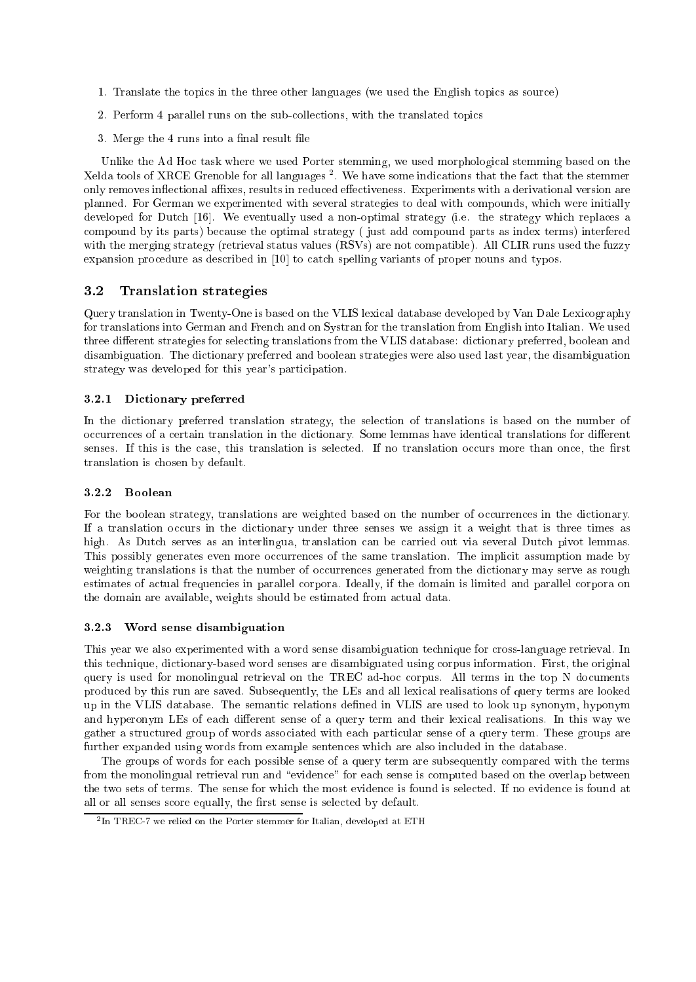- 1. Translate the topi
s in the three other languages (we used the English topi
s as sour
e)
- 2. Perform 4 parallel runs on the sub-collections, with the translated topics
- 3. Merge the 4 runs into a final result file

Unlike the Ad Hoc task where we used Porter stemming, we used morphological stemming based on the  $\Lambda$ elda tools of  $\Lambda$ NCE Grenoble for all languages  $^-.$  We have some indications that the fact that the stemmer only removes inflectional affixes, results in reduced effectiveness. Experiments with a derivational version are planned. For German we experimented with several strategies to deal with ompounds, whi
h were initially developed for Dutch [16]. We eventually used a non-optimal strategy (i.e. the strategy which replaces a ompound by its parts) be
ause the optimal strategy ( just add ompound parts as index terms) interfered with the merging strategy (retrieval status values (RSVs) are not compatible). All CLIR runs used the fuzzy expansion procedure as described in  $[10]$  to catch spelling variants of proper nouns and typos.

## 3.2 Translation strategies

Query translation in Twenty-One is based on the VLIS lexical database developed by Van Dale Lexicography for translations into German and French and on Systran for the translation from English into Italian. We used three different strategies for selecting translations from the VLIS database: dictionary preferred, boolean and disambiguation. The dictionary preferred and boolean strategies were also used last year, the disambiguation strategy was developed for this year's participation.

#### 3.2.1 Di
tionary preferred

In the dictionary preferred translation strategy, the selection of translations is based on the number of occurrences of a certain translation in the dictionary. Some lemmas have identical translations for different senses. If this is the case, this translation is selected. If no translation occurs more than once, the first translation is hosen by default.

#### 3.2.2 Boolean

For the boolean strategy, translations are weighted based on the number of occurrences in the dictionary. If a translation occurs in the dictionary under three senses we assign it a weight that is three times as high. As Dutch serves as an interlingua, translation can be carried out via several Dutch pivot lemmas. This possibly generates even more occurrences of the same translation. The implicit assumption made by weighting translations is that the number of occurrences generated from the dictionary may serve as rough estimates of actual frequencies in parallel corpora. Ideally, if the domain is limited and parallel corpora on the domain are available, weights should be estimated from actual data.

#### 3.2.3Word sense disambiguation

This year we also experimented with a word sense disambiguation technique for cross-language retrieval. In this te
hnique, di
tionary-based word senses are disambiguated using orpus information. First, the original query is used for monolingual retrieval on the TREC ad-hoc corpus. All terms in the top N documents produ
ed by this run are saved. Subsequently, the LEs and all lexi
al realisations of query terms are looked up in the VLIS database. The semantic relations defined in VLIS are used to look up synonym, hyponym and hyperonym LEs of each different sense of a query term and their lexical realisations. In this way we gather a structured group of words associated with each particular sense of a query term. These groups are further expanded using words from example senten
es whi
h are also in
luded in the database.

The groups of words for each possible sense of a query term are subsequently compared with the terms from the monolingual retrieval run and "evidence" for each sense is computed based on the overlap between the two sets of terms. The sense for which the most evidence is found is selected. If no evidence is found at all or all senses score equally, the first sense is selected by default.

<sup>2</sup> In TREC-7 we relied on the Porter stemmer for Italian, developed at ETH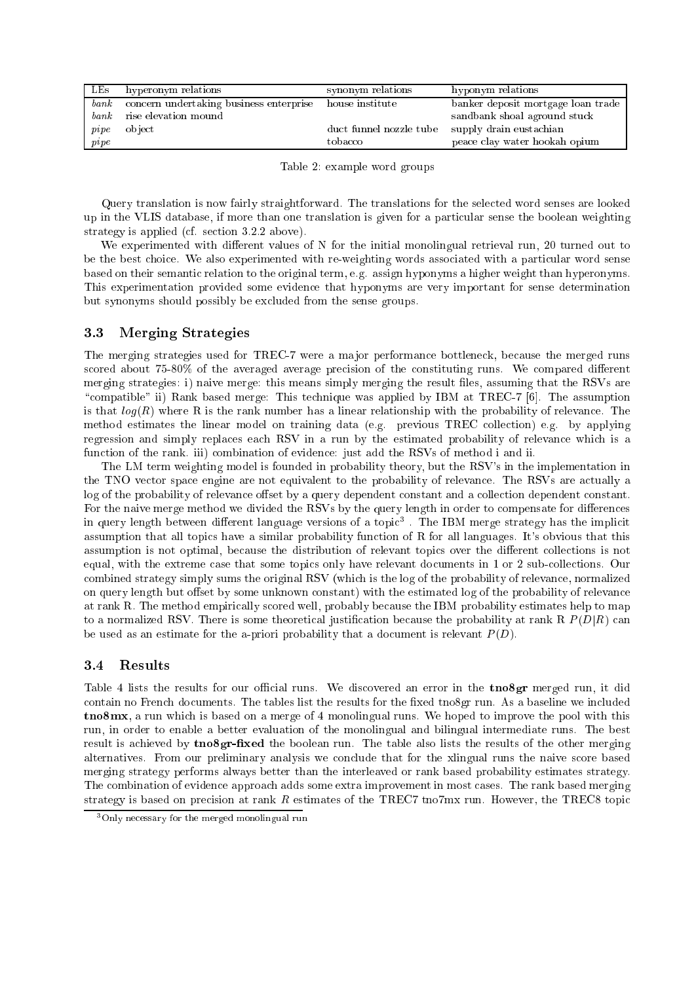| LES             | hyperonym relations                     | synonym relations       | hyponym relations                  |
|-----------------|-----------------------------------------|-------------------------|------------------------------------|
| bank            | concern undertaking business enterprise | house institute         | banker deposit mortgage loan trade |
|                 | <i>bank</i> rise elevation mound        |                         | sandbank shoal aground stuck       |
| $\ p\, i p\, e$ | object                                  | duct funnel nozzle tube | supply drain eustachian            |
| $p$ <i>ipe</i>  |                                         | tobacco                 | peace clay water hookah opium      |

Table 2: example word groups

Query translation is now fairly straightforward. The translations for the sele
ted word senses are looked up in the VLIS database, if more than one translation is given for a parti
ular sense the boolean weighting strategy is applied (cf. section 3.2.2 above).

We experimented with different values of N for the initial monolingual retrieval run, 20 turned out to be the best choice. We also experimented with re-weighting words associated with a particular word sense based on their semanti relation to the original term, e.g. assign hyponyms a higher weight than hyperonyms. This experimentation provided some eviden
e that hyponyms are very important for sense determination but synonyms should possibly be ex
luded from the sense groups.

#### 3.3 Merging Strategies

The merging strategies used for TREC-7 were a major performance bottleneck, because the merged runs scored about 75-80% of the averaged average precision of the constituting runs. We compared different merging strategies: i) naive merge: this means simply merging the result files, assuming that the RSVs are "compatible" ii) Rank based merge: This technique was applied by IBM at TREC-7 [6]. The assumption is that  $log(R)$  where R is the rank number has a linear relationship with the probability of relevance. The method estimates the linear model on training data (e.g. previous TREC collection) e.g. by applying regression and simply replaces each RSV in a run by the estimated probability of relevance which is a function of the rank. iii) combination of evidence: just add the RSVs of method i and ii.

The LM term weighting model is founded in probability theory, but the RSV's in the implementation in the TNO vector space engine are not equivalent to the probability of relevance. The RSVs are actually a log of the probability of relevance offset by a query dependent constant and a collection dependent constant. For the naive merge method we divided the RSVs by the query length in order to compensate for differences in query length between different language versions of a topic . The IBM merge strategy has the implicit assumption that all topi
s have a similar probability fun
tion of R for all languages. It's obvious that this assumption is not optimal, because the distribution of relevant topics over the different collections is not equal, with the extreme case that some topics only have relevant documents in 1 or 2 sub-collections. Our combined strategy simply sums the original RSV (which is the log of the probability of relevance, normalized on query length but offset by some unknown constant) with the estimated log of the probability of relevance at rank R. The method empiri
ally s
ored well, probably be
ause the IBM probability estimates help to map to a normalized RSV. There is some theoretical justification because the probability at rank R  $P(D|R)$  can be used as an estimate for the a-priori probability that a document is relevant  $P(D)$ .

# 3.4 Results

Table 4 lists the results for our official runs. We discovered an error in the **tno8gr** merged run, it did contain no French documents. The tables list the results for the fixed tno8gr run. As a baseline we included tno8mx, a run which is based on a merge of 4 monolingual runs. We hoped to improve the pool with this run, in order to enable a better evaluation of the monolingual and bilingual intermediate runs. The best result is achieved by **tno8gr-fixed** the boolean run. The table also lists the results of the other merging alternatives. From our preliminary analysis we on
lude that for the xlingual runs the naive s
ore based merging strategy performs always better than the interleaved or rank based probability estimates strategy. The combination of evidence approach adds some extra improvement in most cases. The rank based merging strategy is based on precision at rank  $R$  estimates of the TREC7 tno7mx run. However, the TREC8 topic

<sup>3</sup>Only ne
essary for the merged monolingual run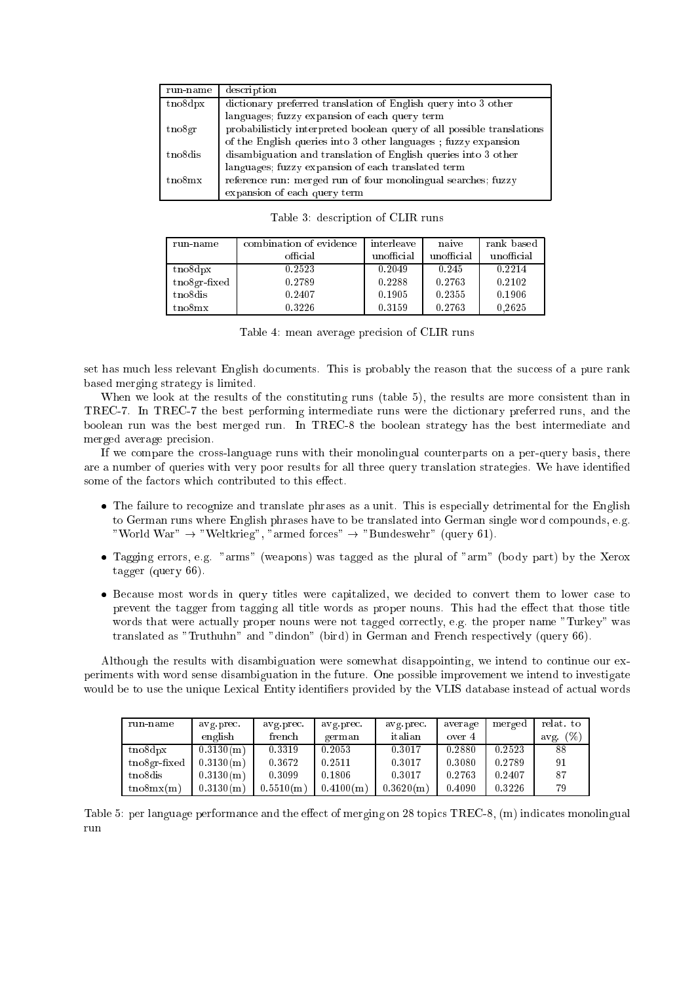| run-name                    | description                                                            |
|-----------------------------|------------------------------------------------------------------------|
| $t_{\rm n}$ and $t_{\rm n}$ | dictionary preferred translation of English query into 3 other         |
|                             | languages; fuzzy expansion of each query term                          |
| $t_{\rm no}$ gr             | probabilisticly interpreted boolean query of all possible translations |
|                             | of the English queries into 3 other languages; fuzzy expansion         |
| t no <sub>8dis</sub>        | disambiguation and translation of English queries into 3 other         |
|                             | languages; fuzzy expansion of each translated term                     |
| tno8mx                      | reference run: merged run of four monolingual searches; fuzzy          |
|                             | expansion of each query term                                           |

| run-name                    | combination of evidence | interleave | naive      | rank based |
|-----------------------------|-------------------------|------------|------------|------------|
|                             | official                | unofficial | unofficial | unofficial |
| $t_{\rm n}$ and $t_{\rm n}$ | 0.2523                  | 0.2049     | 0.245      | 0.2214     |
| $t$ no8gr-fixed             | 0.2789                  | 0.2288     | 0.2763     | 0.2102     |
| tno8dis                     | 0.2407                  | 0.1905     | 0.2355     | 0.1906     |
| t no8mx                     | 0.3226                  | 0.3159     | 0.2763     | 0.2625     |

Table 4: mean average precision of CLIR runs

set has much less relevant English documents. This is probably the reason that the success of a pure rank based merging strategy is limited.

When we look at the results of the constituting runs (table 5), the results are more consistent than in TREC-7. In TREC-7 the best performing intermediate runs were the di
tionary preferred runs, and the boolean run was the best merged run. In TREC-8 the boolean strategy has the best intermediate and merged average pre
ision.

If we compare the cross-language runs with their monolingual counterparts on a per-query basis, there are a number of queries with very poor results for all three query translation strategies. We have identied some of the factors which contributed to this effect.

- The failure to recognize and translate phrases as a unit. This is especially detrimental for the English to German runs where English phrases have to be translated into German single word compounds, e.g. "World War"  $\rightarrow$  "Weltkrieg", "armed forces"  $\rightarrow$  "Bundeswehr" (query 61).
- Tagging errors, e.g. "arms" (weapons) was tagged as the plural of "arm" (body part) by the Xerox tagger (query 66).
- Because most words in query titles were capitalized, we decided to convert them to lower case to prevent the tagger from tagging all title words as proper nouns. This had the effect that those title words that were actually proper nouns were not tagged correctly, e.g. the proper name "Turkey" was translated as "Truthuhn" and "dindon" (bird) in German and French respectively (query 66).

Although the results with disambiguation were somewhat disappointing, we intend to ontinue our experiments with word sense disambiguation in the future. One possible improvement we intend to investigate would be to use the unique Lexical Entity identifiers provided by the VLIS database instead of actual words

| run name              | avg prec. | avg prec. | avg prec  | avg prec. | average | merged | relat. to   |
|-----------------------|-----------|-----------|-----------|-----------|---------|--------|-------------|
|                       | english   | french    | german    | italian   | over 4  |        | (%)<br>avg. |
| $t$ no $8d$ px        | 0.3130(m) | 0.3319    | 0.2053    | 0.3017    | 0.2880  | 0.2523 | 88          |
| $t$ no8gr-fixed       | 0.3130(m) | 0.3672    | 0.2511    | 0.3017    | 0.3080  | 0.2789 | 91          |
| t no <sup>8</sup> dis | 0.3130(m) | 0.3099    | 0.1806    | 0.3017    | 0.2763  | 0.2407 | 87          |
| tno8mx(m)             | 0.3130(m) | 0.5510(m) | 0.4100(m) | 0.3620(m) | 0.4090  | 0.3226 | 79          |

Table 5: per language performance and the effect of merging on 28 topics TREC-8, (m) indicates monolingual run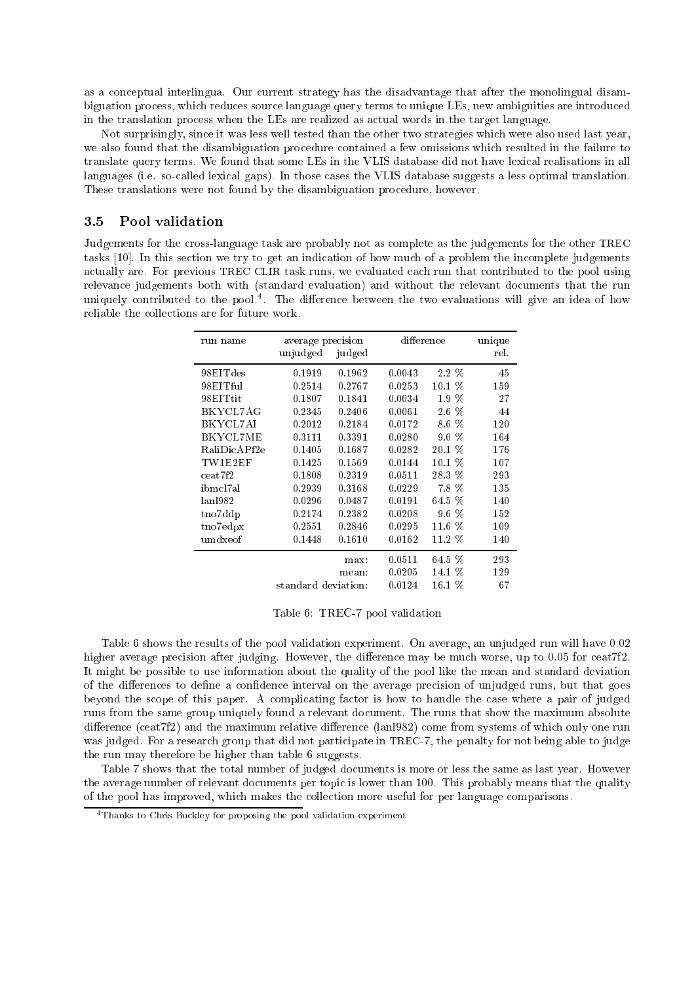as a on
eptual interlingua. Our urrent strategy has the disadvantage that after the monolingual disambiguation pro
ess, whi
h redu
es sour
e language query terms to unique LEs, new ambiguities are introdu
ed in the translation pro
ess when the LEs are realized as a
tual words in the target language.

Not surprisingly, sin
e it was less well tested than the other two strategies whi
h were also used last year, we also found that the disambiguation procedure contained a few omissions which resulted in the failure to translate query terms. We found that some LEs in the VLIS database did not have lexical realisations in all languages (i.e. so-called lexical gaps). In those cases the VLIS database suggests a less optimal translation. These translations were not found by the disambiguation pro
edure, however.

#### $3.5$ Pool validation

Judgements for the cross-language task are probably not as complete as the judgements for the other TREC tasks [10]. In this section we try to get an indication of how much of a problem the incomplete judgements actually are. For previous TREC CLIR task runs, we evaluated each run that contributed to the pool using relevan
e judgements both with (standard evaluation) and without the relevant do
uments that the run uniquely ontributed to the pool.4 . The dieren
e between the two evaluations will give an idea of how reliable the olle
tions are for future work.

| run name         | average precision   |        | difference |          | unique |
|------------------|---------------------|--------|------------|----------|--------|
|                  | unjudged            | judged |            |          | rel.   |
| 98EITdes         | 0.1919              | 0.1962 | 0.0043     | 2.2 %    | 45     |
| 98EITful         | 0.2514              | 0.2767 | 0.0253     | $10.1\%$ | 159    |
| 98EITtit         | 0.1807              | 0.1841 | 0.0034     | 1.9 %    | 27     |
| BKYCL7AG         | 0.2345              | 0.2406 | 0.0061     | 2.6 %    | 44     |
| BKYCL7AI         | 0.2012              | 0.2184 | 0.0172     | 8.6 %    | 120    |
| BKYCL7ME         | 0.3111              | 0.3391 | 0.0280     | 9.0 %    | 164    |
| RaliDicAPf2e     | 0.1405              | 0.1687 | 0.0282     | 20.1 %   | 176    |
| TW1E2EF          | 0.1425              | 0.1569 | 0.0144     | $10.1\%$ | 107    |
| $\text{ceat}7f2$ | 0.1808              | 0.2319 | 0.0511     | 28.3 %   | 293    |
| ibmcl7al         | 0.2939              | 0.3168 | 0.0229     | 7.8%     | 135    |
| lan1982          | 0.0296              | 0.0487 | 0.0191     | 64.5 %   | 140    |
| tno7ddp          | 0.2174              | 0.2382 | 0.0208     | $9.6\%$  | 152    |
| tno7edpx         | 0.2551              | 0.2846 | 0.0295     | 11.6 %   | 109    |
| umdxeof          | 0.1448              | 0.1610 | 0.0162     | 11.2 %   | 140    |
|                  |                     | max:   | 0.0511     | 64.5 %   | 293    |
|                  |                     | mean:  | 0.0205     | 14.1 %   | 129    |
|                  | standard deviation: |        | 0.0124     | $16.1\%$ | 67     |

Table 6: TREC-7 pool validation

Table 6 shows the results of the pool validation experiment. On average, an unjudged run will have 0.02 higher average precision after judging. However, the difference may be much worse, up to 0.05 for ceat7f2. It might be possible to use information about the quality of the pool like the mean and standard deviation of the differences to define a confidence interval on the average precision of unjudged runs, but that goes beyond the scope of this paper. A complicating factor is how to handle the case where a pair of judged runs from the same group uniquely found a relevant document. The runs that show the maximum absolute difference (ceat7f2) and the maximum relative difference (lanl982) come from systems of which only one run was judged. For a research group that did not participate in TREC-7, the penalty for not being able to judge the run may therefore be higher than table 6 suggests.

Table 7 shows that the total number of judged documents is more or less the same as last year. However the average number of relevant documents per topic is lower than 100. This probably means that the quality of the pool has improved, whi
h makes the olle
tion more useful for per language omparisons.

thanks to Chris Buckley for proposing the pool validation experiment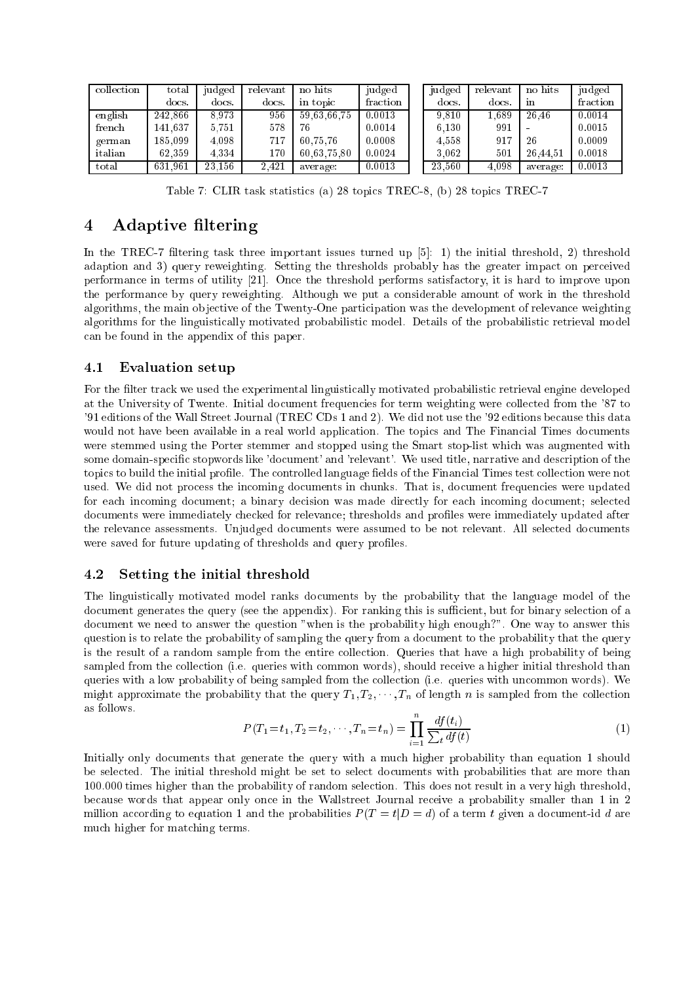| collection | total   | judged | relevant | no hits     | judged   | judged | relevant | no hits        | judged   |
|------------|---------|--------|----------|-------------|----------|--------|----------|----------------|----------|
|            | docs.   | docs.  | docs.    | in topic    | fraction | docs.  | docs.    | 1 <sub>n</sub> | fraction |
| english    | 242.866 | 8.973  | 956      | 59.63.66.75 | 0.0013   | 9,810  | 1,689    | 26.46          | 0.0014   |
| french     | 141.637 | 5.751  | 578      | 76          | 0.0014   | 6.130  | 991      |                | 0.0015   |
| german     | 185.099 | 4.098  | 717      | 60.75.76    | 0.0008   | 4.558  | 917      | 26             | 0.0009   |
| italian    | 62.359  | 4.334  | $170\,$  | 60.63.75.80 | 0.0024   | 3.062  | 501      | 26.44.51       | 0.0018   |
| total      | 631.961 | 23.156 | 2.421    | average:    | 0.0013   | 23.560 | 4.098    | average:       | 0.0013   |

Table 7: CLIR task statisti
s (a) 28 topi
s TREC-8, (b) 28 topi
s TREC-7

# 4 Adaptive filtering

In the TREC-7 filtering task three important issues turned up  $[5]$ : 1) the initial threshold, 2) threshold adaption and 3) query reweighting. Setting the thresholds probably has the greater impact on perceived performance in terms of utility [21]. Once the threshold performs satisfactory, it is hard to improve upon the performan
e by query reweighting. Although we put a onsiderable amount of work in the threshold algorithms, the main objective of the Twenty-One participation was the development of relevance weighting algorithms for the linguistically motivated probabilistic model. Details of the probabilistic retrieval model an be found in the appendix of this paper.

#### $4.1$ Evaluation setup

For the filter track we used the experimental linguistically motivated probabilistic retrieval engine developed at the University of Twente. Initial document frequencies for term weighting were collected from the '87 to '91 editions of the Wall Street Journal (TREC CDs 1 and 2). We did not use the '92 editions be
ause this data would not have been available in a real world application. The topics and The Financial Times documents were stemmed using the Porter stemmer and stopped using the Smart stop-list whi
h was augmented with some domain-specific stopwords like 'document' and 'relevant'. We used title, narrative and description of the topics to build the initial profile. The controlled language fields of the Financial Times test collection were not used. We did not process the incoming documents in chunks. That is, document frequencies were updated for each incoming document; a binary decision was made directly for each incoming document; selected documents were immediately checked for relevance; thresholds and profiles were immediately updated after the relevance assessments. Unjudged documents were assumed to be not relevant. All selected documents were saved for future updating of thresholds and query profiles.

## 4.2 Setting the initial threshold

The linguisti
ally motivated model ranks do
uments by the probability that the language model of the document generates the query (see the appendix). For ranking this is sufficient, but for binary selection of a do
ument we need to answer the question "when is the probability high enough?". One way to answer this question is to relate the probability of sampling the query from a do
ument to the probability that the query is the result of a random sample from the entire collection. Queries that have a high probability of being sampled from the collection (i.e. queries with common words), should receive a higher initial threshold than queries with a low probability of being sampled from the collection (i.e. queries with uncommon words). We might approximate the probability that the query  $T_1, T_2, \cdots, T_n$  of length n is sampled from the collection as follows.

$$
P(T_1 = t_1, T_2 = t_2, \cdots, T_n = t_n) = \prod_{i=1}^n \frac{df(t_i)}{\sum_t df(t)}
$$
(1)

Initially only documents that generate the query with a much higher probability than equation 1 should be sele
ted. The initial threshold might be set to sele
t do
uments with probabilities that are more than 100.000 times higher than the probability of random sele
tion. This does not result in a very high threshold, be
ause words that appear only on
e in the Wallstreet Journal re
eive a probability smaller than 1 in 2 million according to equation 1 and the probabilities  $P(T = t | D = d)$  of a term t given a document-id d are mu
h higher for mat
hing terms.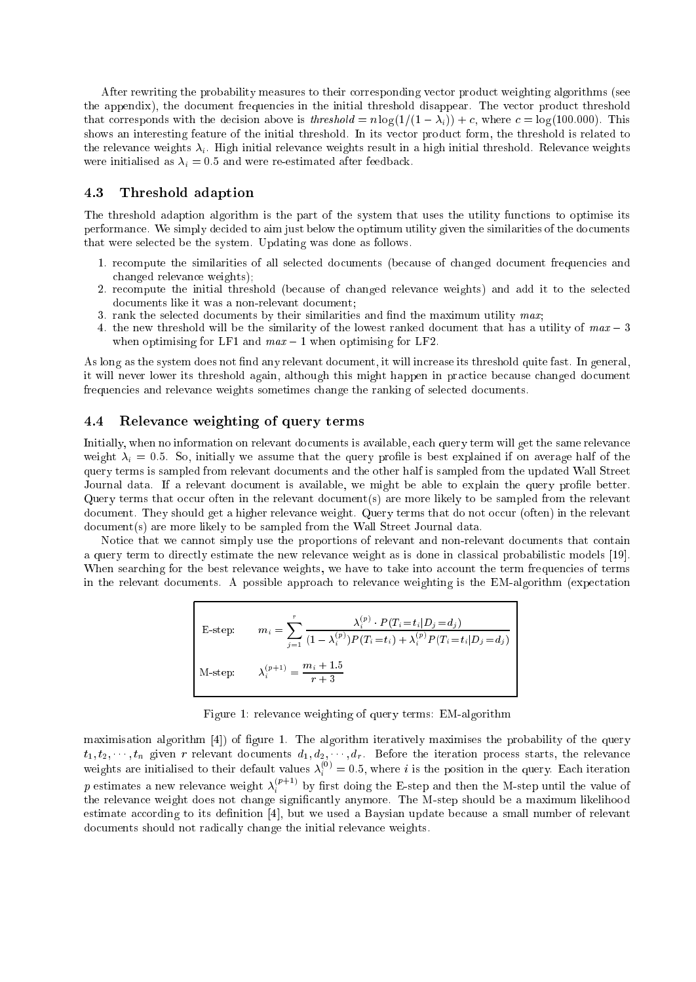After rewriting the probability measures to their orresponding ve
tor produ
t weighting algorithms (see the appendix), the document frequencies in the initial threshold disappear. The vector product threshold that corresponds with the decision above is threshold =  $n \log(1/(1 - \lambda_i)) + c$ , where  $c = \log(100.000)$ . This shows an interesting feature of the initial threshold. In its vector product form, the threshold is related to the relevance weights  $\lambda_i$ . High initial relevance weights result in a high initial threshold. Relevance weights were initialised as  $\lambda_i = 0.5$  and were re-estimated after feedback.

## 4.3 Threshold adaption

The threshold adaption algorithm is the part of the system that uses the utility functions to optimise its performan
e. We simply de
ided to aim just below the optimum utility given the similarities of the do
uments that were sele
ted be the system. Updating was done as follows.

- 1. recompute the similarities of all selected documents (because of changed document frequencies and hanged relevan
e weights);
- 2. re
ompute the initial threshold (be
ause of hanged relevan
e weights) and add it to the sele
ted documents like it was a non-relevant document;
- 3. rank the selected documents by their similarities and find the maximum utility  $max$ ;
- 4. the new threshold will be the similarity of the lowest ranked document that has a utility of  $max-3$ when optimising for LF1 and  $max-1$  when optimising for LF2.

As long as the system does not find any relevant document, it will increase its threshold quite fast. In general, it will never lower its threshold again, although this might happen in practice because changed document frequencies and relevance weights sometimes change the ranking of selected documents.

## 4.4 Relevan
e weighting of query terms

Initially, when no information on relevant documents is available, each query term will get the same relevance weight  $\lambda_i = 0.5$ . So, initially we assume that the query profile is best explained if on average half of the query terms is sampled from relevant do
uments and the other half is sampled from the updated Wall Street Journal data. If a relevant document is available, we might be able to explain the query profile better. Query terms that occur often in the relevant document(s) are more likely to be sampled from the relevant document. They should get a higher relevance weight. Query terms that do not occur (often) in the relevant document(s) are more likely to be sampled from the Wall Street Journal data.

Notice that we cannot simply use the proportions of relevant and non-relevant documents that contain a query term to directly estimate the new relevance weight as is done in classical probabilistic models [19]. When searching for the best relevance weights, we have to take into account the term frequencies of terms in the relevant documents. A possible approach to relevance weighting is the EM-algorithm (expectation

E-step: 
$$
m_i = \sum_{j=1}^r \frac{\lambda_i^{(p)} \cdot P(T_i = t_i | D_j = d_j)}{(1 - \lambda_i^{(p)}) P(T_i = t_i) + \lambda_i^{(p)} P(T_i = t_i | D_j = d_j)}
$$
  
M-step: 
$$
\lambda_i^{(p+1)} = \frac{m_i + 1.5}{r + 3}
$$

Figure 1: relevan
e weighting of query terms: EM-algorithm

maximisation algorithm  $[4]$  of figure 1. The algorithm iteratively maximises the probability of the query t1; tal , the given r relevant distancements of that . Before the iteration process starts, the relevance weights are initialised to their default values  $\lambda_i^{\vee} = 0.5,$  where  $i$  is the position in the query. Each iteration  $p$  estimates a new relevance weight  $\lambda_i^{n+1}$  by first doing the E-step and then the M-step until the value of the relevance weight does not change significantly anymore. The M-step should be a maximum likelihood estimate according to its definition [4], but we used a Baysian update because a small number of relevant documents should not radically change the initial relevance weights.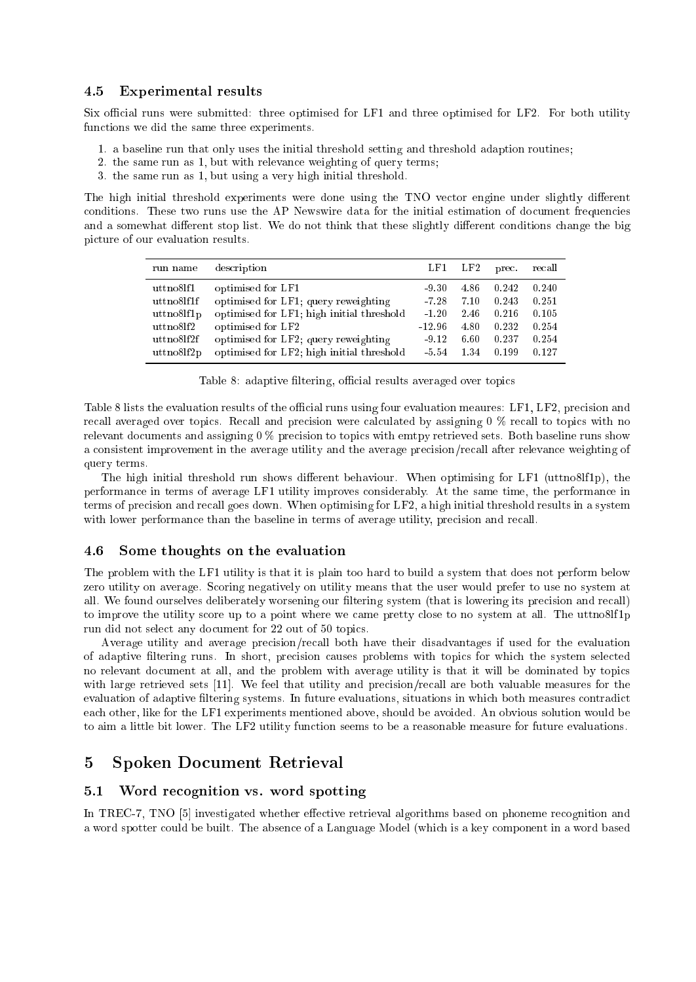## 4.5 Experimental results

Six official runs were submitted: three optimised for LF1 and three optimised for LF2. For both utility fun
tions we did the same three experiments.

- 1. a baseline run that only uses the initial threshold setting and threshold adaption routines;
- 2. the same run as 1, but with relevan
e weighting of query terms;
- 3. the same run as 1, but using a very high initial threshold.

The high initial threshold experiments were done using the TNO vector engine under slightly different conditions. These two runs use the AP Newswire data for the initial estimation of document frequencies and a somewhat different stop list. We do not think that these slightly different conditions change the big picture of our evaluation results.

| run name         | description                               | LF1      | $\operatorname{LF}{2}$ | prec. | recall |
|------------------|-------------------------------------------|----------|------------------------|-------|--------|
| uttno8lf1        | optimised for LF1                         | -9.30    | 4.86                   | 0.242 | 0.240  |
| uttno8lf1f       | optimised for LF1; query reweighting      | $-7.28$  | 7.10                   | 0.243 | 0.251  |
| uttno8lf1p       | optimised for LF1; high initial threshold | $-1.20$  | 2.46                   | 0.216 | 0.105  |
| $uttno8$ lf $2$  | optimised for LF2                         | $-12.96$ | 4.80                   | 0.232 | 0.254  |
| uttno8lf2f       | optimised for LF2; query reweighting      | $-9.12$  | 6.60                   | 0.237 | 0.254  |
| $uttno8$ lf $2p$ | optimised for LF2; high initial threshold | - 5.54   | 1.34                   | 0.199 | 0.127  |

Table 8: adaptive filtering, official results averaged over topics

Table 8 lists the evaluation results of the official runs using four evaluation meaures: LF1, LF2, precision and recall averaged over topics. Recall and precision were calculated by assigning 0 % recall to topics with no relevant documents and assigning  $0\%$  precision to topics with emtpy retrieved sets. Both baseline runs show a consistent improvement in the average utility and the average precision/recall after relevance weighting of query terms.

The high initial threshold run shows different behaviour. When optimising for LF1 (uttno8lf1p), the performan
e in terms of average LF1 utility improves onsiderably. At the same time, the performan
e in terms of precision and recall goes down. When optimising for LF2, a high initial threshold results in a system with lower performance than the baseline in terms of average utility, precision and recall.

#### 4.6 Some thoughts on the evaluation

The problem with the LF1 utility is that it is plain too hard to build a system that does not perform below zero utility on average. S
oring negatively on utility means that the user would prefer to use no system at all. We found ourselves deliberately worsening our filtering system (that is lowering its precision and recall) to improve the utility score up to a point where we came pretty close to no system at all. The uttno8lf1p run did not sele
t any do
ument for 22 out of 50 topi
s.

Average utility and average precision/recall both have their disadvantages if used for the evaluation of adaptive filtering runs. In short, precision causes problems with topics for which the system selected no relevant document at all, and the problem with average utility is that it will be dominated by topics with large retrieved sets  $[11]$ . We feel that utility and precision/recall are both valuable measures for the evaluation of adaptive filtering systems. In future evaluations, situations in which both measures contradict ea
h other, like for the LF1 experiments mentioned above, should be avoided. An obvious solution would be to aim a little bit lower. The LF2 utility fun
tion seems to be a reasonable measure for future evaluations.

# 5 Spoken Do
ument Retrieval

#### $5.1$ Word recognition vs. word spotting

In TREC-7, TNO [5] investigated whether effective retrieval algorithms based on phoneme recognition and a word spotter ould be built. The absen
e of a Language Model (whi
h is a key omponent in a word based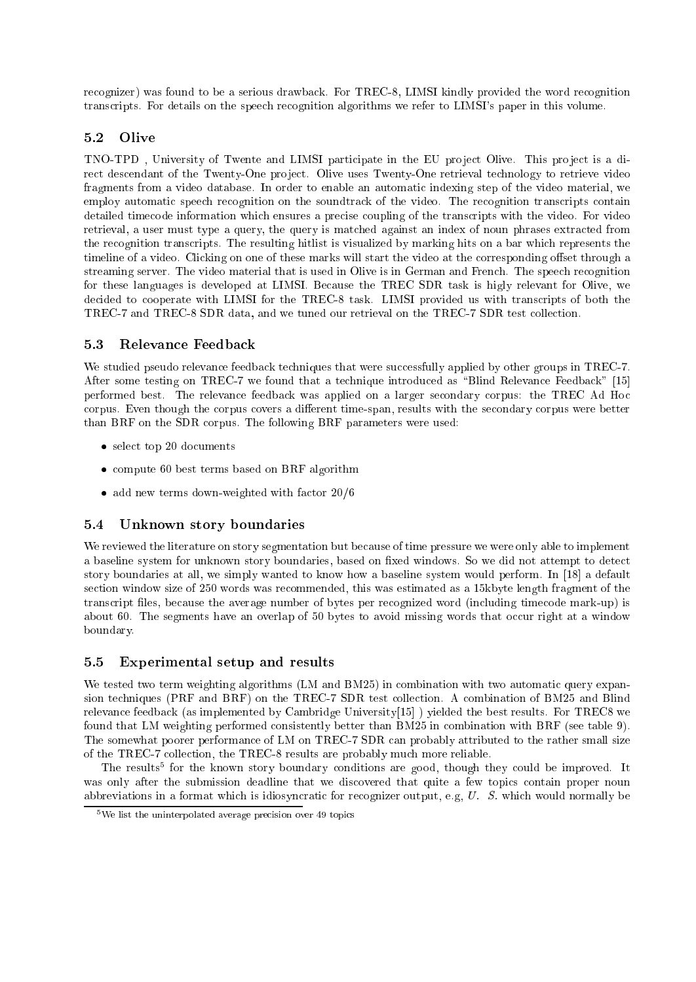recognizer) was found to be a serious drawback. For TREC-8, LIMSI kindly provided the word recognition trans
ripts. For details on the spee
h re
ognition algorithms we refer to LIMSI's paper in this volume.

## 5.2 Olive

TNO-TPD, University of Twente and LIMSI participate in the EU project Olive. This project is a direct descendant of the Twenty-One project. Olive uses Twenty-One retrieval technology to retrieve video fragments from a video database. In order to enable an automati indexing step of the video material, we employ automatic speech recognition on the soundtrack of the video. The recognition transcripts contain detailed timecode information which ensures a precise coupling of the transcripts with the video. For video retrieval, a user must type a query, the query is matched against an index of noun phrases extracted from the recognition transcripts. The resulting hitlist is visualized by marking hits on a bar which represents the timeline of a video. Clicking on one of these marks will start the video at the corresponding offset through a streaming server. The video material that is used in Olive is in German and French. The speech recognition for these languages is developed at LIMSI. Because the TREC SDR task is higly relevant for Olive, we decided to cooperate with LIMSI for the TREC-8 task. LIMSI provided us with transcripts of both the TREC-7 and TREC-8 SDR data, and we tuned our retrieval on the TREC-7 SDR test collection.

## 5.3 Relevan
e Feedba
k

We studied pseudo relevance feedback techniques that were successfully applied by other groups in TREC-7. After some testing on TREC-7 we found that a technique introduced as "Blind Relevance Feedback" [15] performed best. The relevan
e feedba
k was applied on a larger se
ondary orpus: the TREC Ad Ho corpus. Even though the corpus covers a different time-span, results with the secondary corpus were better than BRF on the SDR corpus. The following BRF parameters were used:

- select top 20 documents
- $\bullet$  compute 60 best terms based on BRF algorithm
- add new terms down-weighted with factor 20/6

# 5.4 Unknown story boundaries

We reviewed the literature on story segmentation but because of time pressure we were only able to implement a baseline system for unknown story boundaries, based on fixed windows. So we did not attempt to detect story boundaries at all, we simply wanted to know how a baseline system would perform. In [18] a default se
tion window size of 250 words was re
ommended, this was estimated as a 15kbyte length fragment of the transcript files, because the average number of bytes per recognized word (including timecode mark-up) is about 60. The segments have an overlap of 50 bytes to avoid missing words that occur right at a window boundary.

#### 5.5 Experimental setup and results  $5.5$

We tested two term weighting algorithms (LM and BM25) in combination with two automatic query expansion techniques (PRF and BRF) on the TREC-7 SDR test collection. A combination of BM25 and Blind relevance feedback (as implemented by Cambridge University[15]) yielded the best results. For TREC8 we found that LM weighting performed consistently better than BM25 in combination with BRF (see table 9). The somewhat poorer performance of LM on TREC-7 SDR can probably attributed to the rather small size of the TREC-7 collection, the TREC-8 results are probably much more reliable.

The results for the known story boundary conditions are good, though they could be improved. It was only after the submission deadline that we discovered that quite a few topics contain proper noun abbreviations in a format which is idiosyncratic for recognizer output, e.g, U. S. which would normally be

we iist the uninterpolated average precision over 49 topics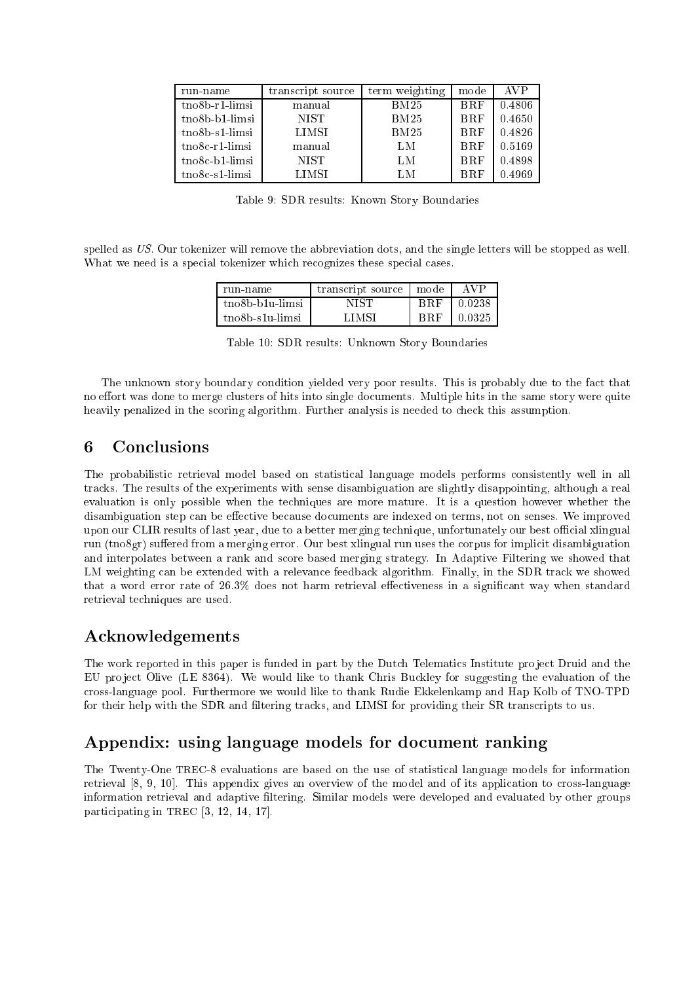| run-name                       | transcript source | term weighting | mode       | AVP    |
|--------------------------------|-------------------|----------------|------------|--------|
| $t$ no $8b$ -r $1$ -limsi      | manual            | BM25           | <b>BRF</b> | 0.4806 |
| tno8b-b1-limsi                 | <b>NIST</b>       | BM25           | <b>BRF</b> | 0.4650 |
| $t$ no $8b$ -s1- $limsi$       | LIMSI             | BM25           | <b>BRF</b> | 0.4826 |
| $tno8c-r1-limsi$               | manual            | LM             | <b>BRF</b> | 0.5169 |
| $t$ no $8c$ -b $1$ -limsi      | <b>NIST</b>       | LM             | <b>BRF</b> | 0.4898 |
| $t_{\rm n}$ $\alpha$ -s1-limsi | LIMSI             | LM             | <b>BRF</b> | 0.4969 |

Table 9: SDR results: Known Story Boundaries

spelled as US. Our tokenizer will remove the abbreviation dots, and the single letters will be stopped as well. What we need is a special tokenizer which recognizes these special cases.

| run name                     | transcript source | mode | AVP    |
|------------------------------|-------------------|------|--------|
| tno8b-b1u-limsi              | NIST              | BRF  | 0.0238 |
| tno <sub>8</sub> b-s1u-limsi | L TMS I           |      | 0.0325 |

Table 10: SDR results: Unknown Story Boundaries

The unknown story boundary condition yielded very poor results. This is probably due to the fact that no effort was done to merge clusters of hits into single documents. Multiple hits in the same story were quite heavily penalized in the scoring algorithm. Further analysis is needed to check this assumption.

#### 6 **Conclusions**

The probabilistic retrieval model based on statistical language models performs consistently well in all tra
ks. The results of the experiments with sense disambiguation are slightly disappointing, although a real evaluation is only possible when the techniques are more mature. It is a question however whether the disambiguation step can be effective because documents are indexed on terms, not on senses. We improved upon our CLIR results of last year, due to a better merging te
hnique, unfortunately our best oÆ
ial xlingual run (tno8gr) suffered from a merging error. Our best xlingual run uses the corpus for implicit disambiguation and interpolates between a rank and s
ore based merging strategy. In Adaptive Filtering we showed that LM weighting can be extended with a relevance feedback algorithm. Finally, in the SDR track we showed that a word error rate of 26.3% does not harm retrieval effectiveness in a significant way when standard retrieval te
hniques are used.

# **Acknowledgements**

The work reported in this paper is funded in part by the Dutch Telematics Institute project Druid and the EU project Olive (LE 8364). We would like to thank Chris Buckley for suggesting the evaluation of the ross-language pool. Furthermore we would like to thank Rudie Ekkelenkamp and Hap Kolb of TNO-TPD for their help with the SDR and filtering tracks, and LIMSI for providing their SR transcripts to us.

# Appendix: using language models for document ranking

The Twenty-One TREC-8 evaluations are based on the use of statisti
al language models for information retrieval [8, 9, 10]. This appendix gives an overview of the model and of its application to cross-language information retrieval and adaptive ltering. Similar models were developed and evaluated by other groups participating in TREC  $[3, 12, 14, 17]$ .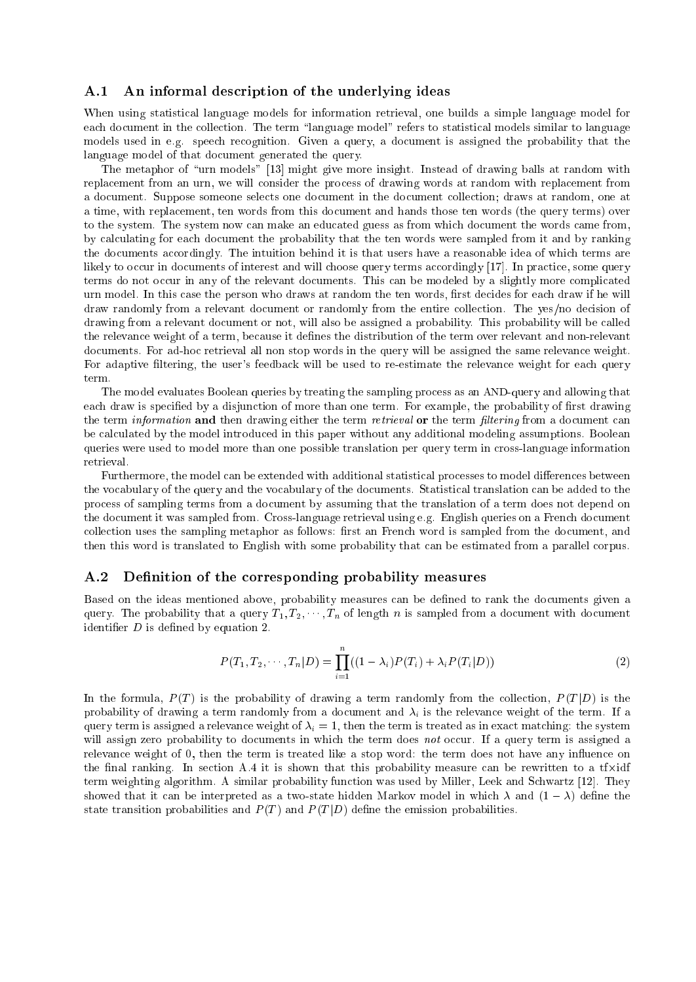## A.1 An informal description of the underlying ideas

When using statistical language models for information retrieval, one builds a simple language model for each document in the collection. The term "language model" refers to statistical models similar to language models used in e.g. speech recognition. Given a query, a document is assigned the probability that the language model of that document generated the query.

The metaphor of "urn models" [13] might give more insight. Instead of drawing balls at random with replacement from an urn, we will consider the process of drawing words at random with replacement from a document. Suppose someone selects one document in the document collection; draws at random, one at a time, with repla
ement, ten words from this do
ument and hands those ten words (the query terms) over to the system. The system now can make an educated guess as from which document the words came from, by al
ulating for ea
h do
ument the probability that the ten words were sampled from it and by ranking the documents accordingly. The intuition behind it is that users have a reasonable idea of which terms are likely to occur in documents of interest and will choose query terms accordingly [17]. In practice, some query terms do not occur in any of the relevant documents. This can be modeled by a slightly more complicated urn model. In this case the person who draws at random the ten words, first decides for each draw if he will draw randomly from a relevant document or randomly from the entire collection. The yes/no decision of drawing from a relevant do
ument or not, will also be assigned a probability. This probability will be alled the relevance weight of a term, because it defines the distribution of the term over relevant and non-relevant documents. For ad-hoc retrieval all non stop words in the query will be assigned the same relevance weight. For adaptive filtering, the user's feedback will be used to re-estimate the relevance weight for each query

The model evaluates Boolean queries by treating the sampling pro
ess as an AND-query and allowing that each draw is specified by a disjunction of more than one term. For example, the probability of first drawing the term *information* and then drawing either the term *retrieval* or the term *filtering* from a document can be al
ulated by the model introdu
ed in this paper without any additional modeling assumptions. Boolean queries were used to model more than one possible translation per query term in cross-language information retrieval.

Furthermore, the model can be extended with additional statistical processes to model differences between the vo
abulary of the query and the vo
abulary of the do
uments. Statisti
al translation an be added to the pro
ess of sampling terms from a do
ument by assuming that the translation of a term does not depend on the document it was sampled from. Cross-language retrieval using e.g. English queries on a French document collection uses the sampling metaphor as follows: first an French word is sampled from the document, and then this word is translated to English with some probability that an be estimated from a parallel orpus.

## A.2 Definition of the corresponding probability measures

Based on the ideas mentioned above, probability measures can be defined to rank the documents given a query. The probability that a query  $T_1, T_2, \cdots, T_n$  of length n is sampled from a document with document identifier  $D$  is defined by equation 2.

$$
P(T_1, T_2, \cdots, T_n | D) = \prod_{i=1}^n ((1 - \lambda_i) P(T_i) + \lambda_i P(T_i | D))
$$
\n(2)

In the formula,  $P(T)$  is the probability of drawing a term randomly from the collection,  $P(T|D)$  is the probability of drawing a term randomly from a document and  $\lambda_i$  is the relevance weight of the term. If a query term is assigned a relevance weight of  $\lambda_i = 1$ , then the term is treated as in exact matching: the system will assign zero probability to documents in which the term does not occur. If a query term is assigned a relevance weight of 0, then the term is treated like a stop word: the term does not have any influence on the most community the section and the station and computed probability measures that the content of the compu term weighting algorithm. A similar probability function was used by Miller, Leek and Schwartz [12]. They showed that it can be interpreted as a two-state hidden Markov model in which  $\lambda$  and  $(1 - \lambda)$  define the state transition probabilities and  $P(T)$  and  $P(T|D)$  define the emission probabilities.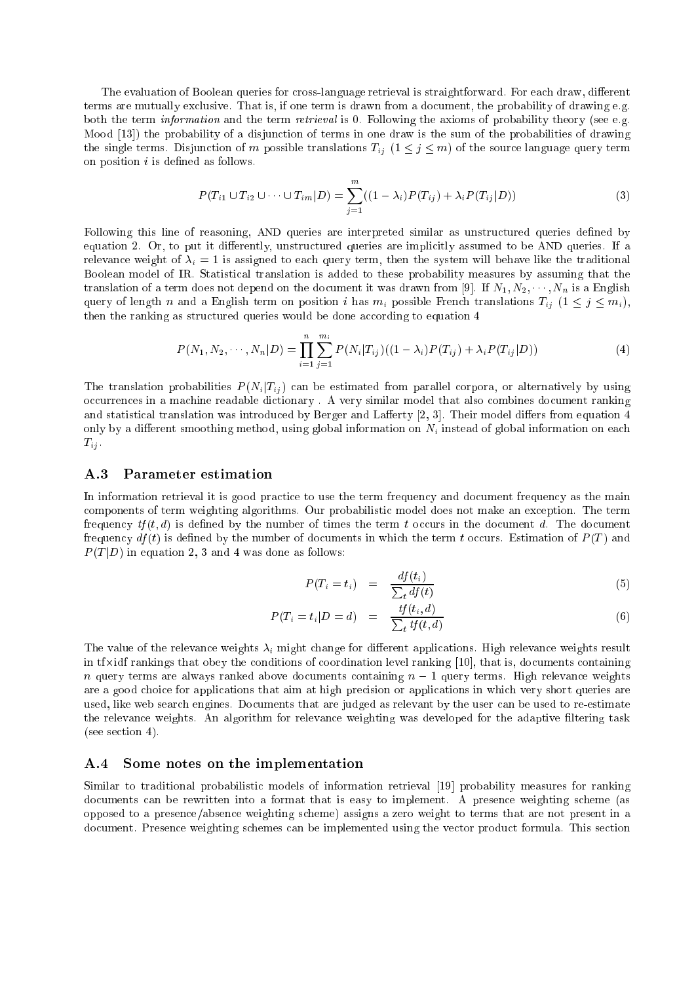The evaluation of Boolean queries for cross-language retrieval is straightforward. For each draw, different terms are mutually ex
lusive. That is, if one term is drawn from a do
ument, the probability of drawing e.g. both the term *information* and the term *retrieval* is 0. Following the axioms of probability theory (see e.g. Mood [13]) the probability of a disjunction of terms in one draw is the sum of the probabilities of drawing the single terms. Disjunction of m possible translations  $T_{ij}$   $(1 \leq j \leq m)$  of the source language query term on position  $i$  is defined as follows.

$$
P(T_{i1} \cup T_{i2} \cup \dots \cup T_{im}|D) = \sum_{j=1}^{m} ((1 - \lambda_i)P(T_{ij}) + \lambda_i P(T_{ij}|D))
$$
\n(3)

Following this line of reasoning, AND queries are interpreted similar as unstructured queries defined by equation 2. Or, to put it differently, unstructured queries are implicitly assumed to be AND queries. If a relevance weight of  $\lambda_i = 1$  is assigned to each query term, then the system will behave like the traditional Boolean model of IR. Statisti
al translation is added to these probability measures by assuming that the translation of a term does not depend on the document it was drawn from [9]. If  $N_1, N_2, \cdots, N_n$  is a English query of length n and a English term on position i has  $m_i$  possible French translations  $T_{ij}$   $(1 \leq j \leq m_i)$ , then the ranking as structured queries would be done according to equation 4

$$
P(N_1, N_2, \cdots, N_n | D) = \prod_{i=1}^n \sum_{j=1}^{m_i} P(N_i | T_{ij}) ((1 - \lambda_i) P(T_{ij}) + \lambda_i P(T_{ij} | D))
$$
\n(4)

The translation probabilities  $P(N_i|T_{ij})$  can be estimated from parallel corpora, or alternatively by using occurrences in a machine readable dictionary . A very similar model that also combines document ranking and statistical translation was introduced by Berger and Lafferty [2, 3]. Their model differs from equation 4 only by a different smoothing method, using global information on  $N_i$  instead of global information on each  $T_{ij}$ .

#### $A.3$ Parameter estimation

In information retrieval it is good practice to use the term frequency and document frequency as the main omponents of term weighting algorithms. Our probabilisti model does not make an ex
eption. The term frequency  $tf(t, d)$  is defined by the number of times the term t occurs in the document d. The document frequency  $df(t)$  is defined by the number of documents in which the term t occurs. Estimation of  $P(T)$  and P (T jD) in equation 2, 3 and 4 was done as follows:

$$
P(T_i = t_i) = \frac{df(t_i)}{\sum_t df(t)} \tag{5}
$$

$$
P(T_i = t_i | D = d) = \frac{tf(t_i, d)}{\sum_t tf(t, d)}
$$
\n
$$
(6)
$$

<sup>t</sup>

The value of the relevance weights  $\lambda_i$  might change for different applications. High relevance weights result in the commonly that of a production is the commonly for the commonly  $\vert$  is, do that is a commonly n query terms are always ranked above documents terms. Higher a query terms. High relevance in April are a good hoi
e for appli
ations that aim at high pre
ision or appli
ations in whi
h very short queries are used, like web search engines. Documents that are judged as relevant by the user can be used to re-estimate the relevance weights. An algorithm for relevance weighting was developed for the adaptive filtering task (see se
tion 4).

#### $A.4$ Some notes on the implementation

Similar to traditional probabilistic models of information retrieval [19] probability measures for ranking documents can be rewritten into a format that is easy to implement. A presence weighting scheme (as opposed to a presen
e/absen
e weighting s
heme) assigns a zero weight to terms that are not present in a document. Presence weighting schemes can be implemented using the vector product formula. This section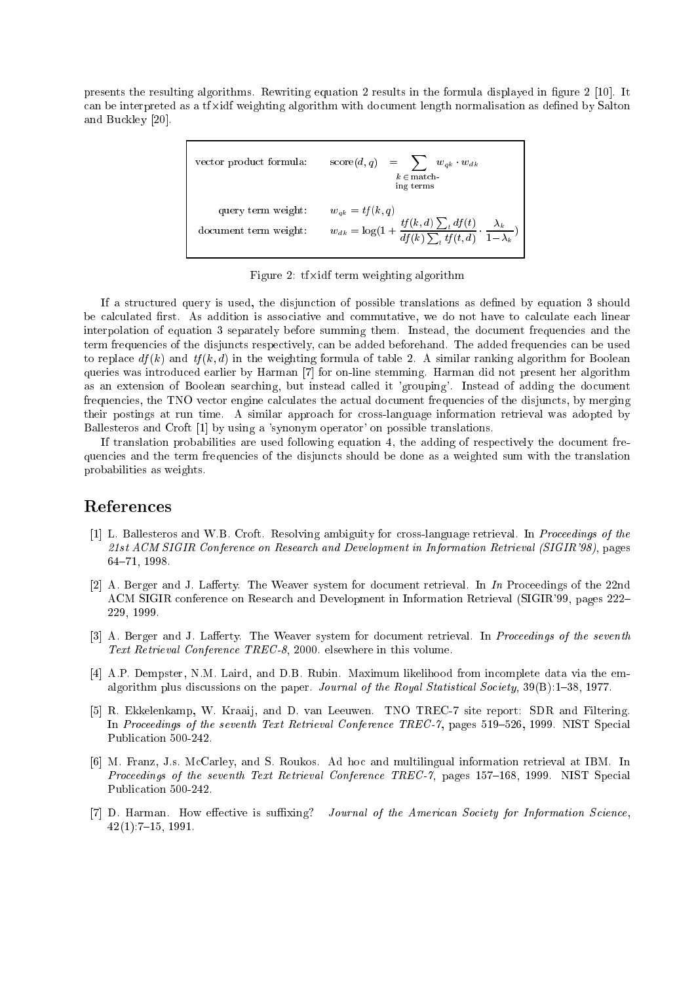presents the resulting algorithms. Rewriting equation 2 results in the formula displayed in figure 2 [10]. It an be interpreted as a time with doughting with document as a since in the measurement as defined by Salton and Buckley [20].

| vector product formula: | $\mathrm{score}(d, q) = \sum_{k=1}^{n} w_{qk} \cdot w_{dk}$<br>$k \in \text{match}$<br>ing terms                        |
|-------------------------|-------------------------------------------------------------------------------------------------------------------------|
| query term weight:      | $w_{ak} = tf(k, q)$                                                                                                     |
| document term weight:   | $w_{dk} = \log\left(1 + \frac{tf(k, d)\sum_t df(t)}{df(k)\sum_t tf(t, d)} \cdot \frac{\lambda_k}{1 - \lambda_k}\right)$ |

 $\mathcal{L}$  is the three distinction algorithm  $\mathcal{L}$  and  $\mathcal{L}$ 

If a stru
tured query is used, the disjun
tion of possible translations as dened by equation 3 should be calculated first. As addition is associative and commutative, we do not have to calculate each linear interpolation of equation 3 separately before summing them. Instead, the document frequencies and the term frequencies of the disjuncts respectively, can be added beforehand. The added frequencies can be used to replace  $df(k)$  and  $tf(k,d)$  in the weighting formula of table 2. A similar ranking algorithm for Boolean queries was introduced earlier by Harman [7] for on-line stemming. Harman did not present her algorithm as an extension of Boolean searching, but instead called it 'grouping'. Instead of adding the document frequencies, the TNO vector engine calculates the actual document frequencies of the disjuncts, by merging their postings at run time. A similar approach for cross-language information retrieval was adopted by Ballesteros and Croft [1] by using a 'synonym operator' on possible translations.

If translation probabilities are used following equation 4, the adding of respectively the document frequen
ies and the term frequen
ies of the disjun
ts should be done as a weighted sum with the translation probabilities as weights.

# Referen
es

- [1] L. Ballesteros and W.B. Croft. Resolving ambiguity for cross-language retrieval. In Proceedings of the 21st ACM SIGIR Conference on Research and Development in Information Retrieval (SIGIR'98), pages 64-71, 1998.
- [2] A. Berger and J. Lafferty. The Weaver system for document retrieval. In In Proceedings of the 22nd ACM SIGIR conference on Research and Development in Information Retrieval (SIGIR'99, pages 222-229, 1999.
- [3] A. Berger and J. Lafferty. The Weaver system for document retrieval. In *Proceedings of the seventh* Text Retrieval Conferen
e TREC-8, 2000. elsewhere in this volume.
- [4] A.P. Dempster, N.M. Laird, and D.B. Rubin. Maximum likelihood from incomplete data via the emalgorithm plus discussions on the paper. Journal of the Royal Statistical Society, 39(B):1-38, 1977.
- [5] R. Ekkelenkamp, W. Kraaij, and D. van Leeuwen. TNO TREC-7 site report: SDR and Filtering. In Proceedings of the seventh Text Retrieval Conference TREC-7, pages 519–526, 1999. NIST Special Publication 500-242
- [6] M. Franz, J.s. McCarley, and S. Roukos. Ad hoc and multilingual information retrieval at IBM. In Proceedings of the seventh Text Retrieval Conference TREC-7, pages 157-168, 1999. NIST Special Publication 500-242.
- [7] D. Harman. How effective is suffixing? Journal of the American Society for Information Science,  $42(1):7-15, 1991.$